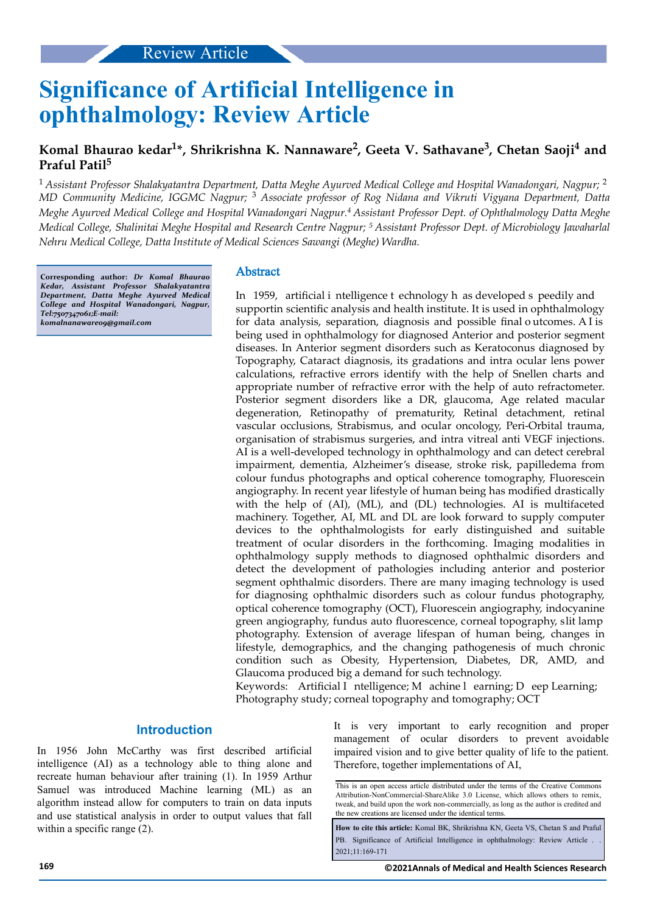# **Significance of Artificial Intelligence in ophthalmology: Review Article**

# **Komal Bhaurao kedar<sup>1</sup> \*, Shrikrishna K. Nannaware<sup>2</sup> , Geeta V. Sathavane<sup>3</sup> , Chetan Saoji<sup>4</sup> and Praful Patil<sup>5</sup>**

<sup>1</sup>*Assistant Professor Shalakyatantra Department, Datta Meghe Ayurved Medical College and Hospital Wanadongari, Nagpur;* <sup>2</sup> *MD Community Medicine, IGGMC Nagpur;* <sup>3</sup> *Associate professor of Rog Nidana and Vikruti Vigyana Department, Datta Meghe Ayurved Medical College and Hospital Wanadongari Nagpur.<sup>4</sup>Assistant Professor Dept. of Ophthalmology Datta Meghe Medical College, Shalinitai Meghe Hospital and Research Centre Nagpur; <sup>5</sup>Assistant Professor Dept. of Microbiology Jawaharlal Nehru Medical College, Datta Institute of Medical Sciences Sawangi (Meghe) Wardha.*

**Corresponding author:** *Dr Komal Bhaurao Kedar, Assistant Professor Shalakyatantra Department, Datta Meghe Ayurved Medical College and Hospital Wanadongari, Nagpur, Tel:7507347061;E-mail: komalnanaware09@gmail.com*

# Abstract

In 1959, artificial i ntelligence t echnology h as developed s peedily and supportin scientific analysis and health institute. It is used in ophthalmology for data analysis, separation, diagnosis and possible finl o utcomes. A I is being used in ophthalmology for diagnosed Anterior and posterior segment diseases. In Anterior segment disorders such as Keratoconus diagnosed by Topography, Cataract diagnosis, its gradations and intra ocular lens power calculations, refractive errors identify with the help of Snellen charts and appropriate number of refractive error with the help of auto refractometer. Posterior segment disorders like a DR, glaucoma, Age related macular degeneration, Retinopathy of prematurity, Retinal detachment, retinal vascular occlusions, Strabismus, and ocular oncology, Peri-Orbital trauma, organisation of strabismus surgeries, and intra vitreal anti VEGF injections. AI is a well-developed technology in ophthalmology and can detect cerebral impairment, dementia, Alzheimer's disease, stroke risk, papilledema from colour fundus photographs and optical coherence tomography, Fluorescein angiography. In recent year lifestyle of human being has modified drastically with the help of (AI), (ML), and (DL) technologies. AI is multifaceted machinery. Together, AI, ML and DL are look forward to supply computer devices to the ophthalmologists for early distinguished and suitable treatment of ocular disorders in the forthcoming. Imaging modalities in ophthalmology supply methods to diagnosed ophthalmic disorders and detect the development of pathologies including anterior and posterior segment ophthalmic disorders. There are many imaging technology is used for diagnosing ophthalmic disorders such as colour fundus photography, optical coherence tomography (OCT), Fluorescein angiography, indocyanine green angiography, fundus auto fluorescence, corneal topography, slit lamp photography. Extension of average lifespan of human being, changes in lifestyle, demographics, and the changing pathogenesis of much chronic condition such as Obesity, Hypertension, Diabetes, DR, AMD, and Glaucoma produced big a demand for such technology.

Keywords: Artificial I ntelligence; M achine l earning; D eep Learning; Photography study; corneal topography and tomography; OCT

# **Introduction**

In 1956 John McCarthy was first described artificial intelligence (AI) as a technology able to thing alone and recreate human behaviour after training (1). In 1959 Arthur Samuel was introduced Machine learning (ML) as an algorithm instead allow for computers to train on data inputs and use statistical analysis in order to output values that fall within a specific range (2).

It is very important to early recognition and proper management of ocular disorders to prevent avoidable impaired vision and to give better quality of life to the patient. Therefore, together implementations of AI,

**How to cite this article:** Komal BK, Shrikrishna KN, Geeta VS, Chetan S and Praful PB. Significance of Artificial Intelligence in ophthalmology: Review Article . 2021;11:169-171

This is an open access article distributed under the terms of the Creative Commons Attribution-NonCommercial-ShareAlike 3.0 License, which allows others to remix, tweak, and build upon the work non‑commercially, as long as the author is credited and the new creations are licensed under the identical terms.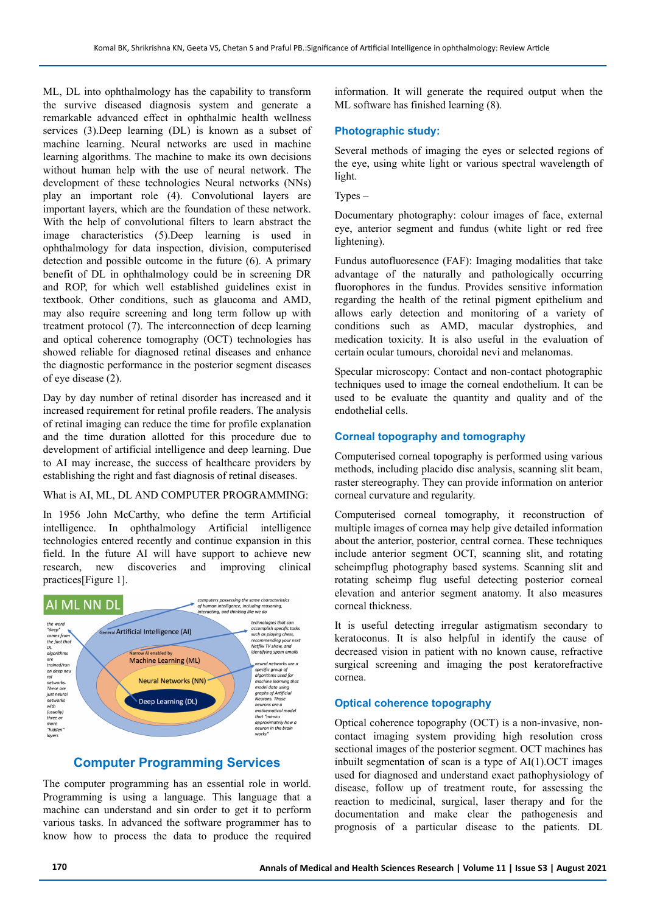ML, DL into ophthalmology has the capability to transform the survive diseased diagnosis system and generate a remarkable advanced effect in ophthalmic health wellness services (3).Deep learning (DL) is known as a subset of machine learning. Neural networks are used in machine learning algorithms. The machine to make its own decisions without human help with the use of neural network. The development of these technologies Neural networks (NNs) play an important role (4). Convolutional layers are important layers, which are the foundation of these network. With the help of convolutional filters to learn abstract the image characteristics (5).Deep learning is used in ophthalmology for data inspection, division, computerised detection and possible outcome in the future (6). A primary benefit of DL in ophthalmology could be in screening DR and ROP, for which well established guidelines exist in textbook. Other conditions, such as glaucoma and AMD, may also require screening and long term follow up with treatment protocol (7). The interconnection of deep learning and optical coherence tomography (OCT) technologies has showed reliable for diagnosed retinal diseases and enhance the diagnostic performance in the posterior segment diseases of eye disease (2).

Day by day number of retinal disorder has increased and it increased requirement for retinal profile readers. The analysis of retinal imaging can reduce the time for profile explanation and the time duration allotted for this procedure due to development of artificial intelligence and deep learning. Due to AI may increase, the success of healthcare providers by establishing the right and fast diagnosis of retinal diseases.

#### What is AI, ML, DL AND COMPUTER PROGRAMMING:

In 1956 John McCarthy, who define the term Artificial intelligence. In ophthalmology Artificial intelligence technologies entered recently and continue expansion in this field. In the future AI will have support to achieve new research, new discoveries and improving clinical practices[Figure 1].



# **Computer Programming Services**

The computer programming has an essential role in world. Programming is using a language. This language that a machine can understand and sin order to get it to perform various tasks. In advanced the software programmer has to know how to process the data to produce the required information. It will generate the required output when the ML software has finished learning (8).

# **Photographic study:**

Several methods of imaging the eyes or selected regions of the eye, using white light or various spectral wavelength of light.

 $Types -$ 

Documentary photography: colour images of face, external eye, anterior segment and fundus (white light or red free lightening).

Fundus autofluoresence (FAF): Imaging modalities that take advantage of the naturally and pathologically occurring fluorophores in the fundus. Provides sensitive information regarding the health of the retinal pigment epithelium and allows early detection and monitoring of a variety of conditions such as AMD, macular dystrophies, and medication toxicity. It is also useful in the evaluation of certain ocular tumours, choroidal nevi and melanomas.

Specular microscopy: Contact and non-contact photographic techniques used to image the corneal endothelium. It can be used to be evaluate the quantity and quality and of the endothelial cells.

# **Corneal topography and tomography**

Computerised corneal topography is performed using various methods, including placido disc analysis, scanning slit beam, raster stereography. They can provide information on anterior corneal curvature and regularity.

Computerised corneal tomography, it reconstruction of multiple images of cornea may help give detailed information about the anterior, posterior, central cornea. These techniques include anterior segment OCT, scanning slit, and rotating scheimpflug photography based systems. Scanning slit and rotating scheimp flug useful detecting posterior corneal elevation and anterior segment anatomy. It also measures corneal thickness.

It is useful detecting irregular astigmatism secondary to keratoconus. It is also helpful in identify the cause of decreased vision in patient with no known cause, refractive surgical screening and imaging the post keratorefractive cornea.

#### **Optical coherence topography**

Optical coherence topography (OCT) is a non-invasive, noncontact imaging system providing high resolution cross sectional images of the posterior segment. OCT machines has inbuilt segmentation of scan is a type of AI(1).OCT images used for diagnosed and understand exact pathophysiology of disease, follow up of treatment route, for assessing the reaction to medicinal, surgical, laser therapy and for the documentation and make clear the pathogenesis and prognosis of a particular disease to the patients. DL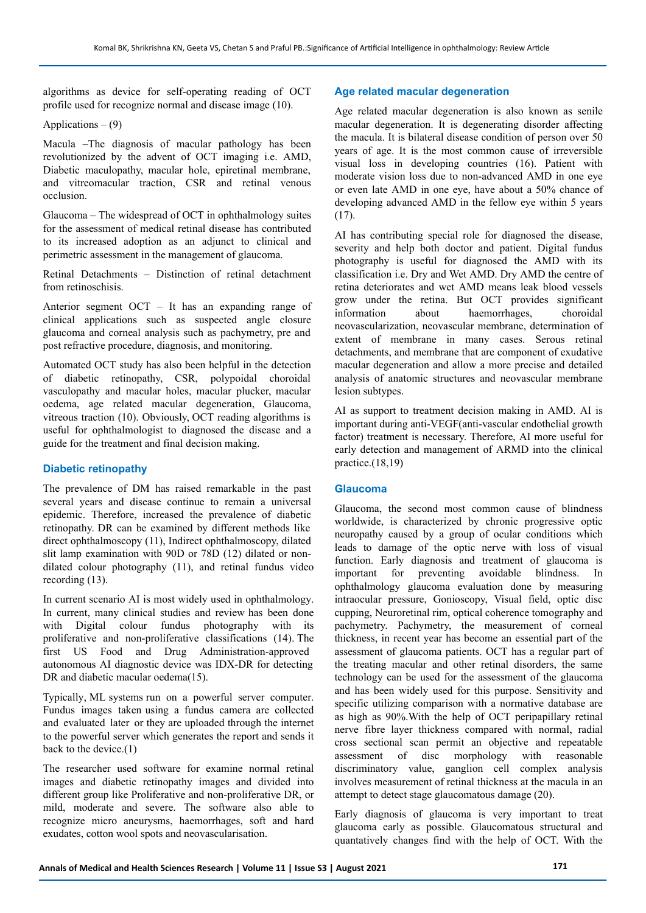algorithms as device for self-operating reading of OCT profile used for recognize normal and disease image (10).

## Applications  $- (9)$

Macula –The diagnosis of macular pathology has been revolutionized by the advent of OCT imaging i.e. AMD, Diabetic maculopathy, macular hole, epiretinal membrane, and vitreomacular traction, CSR and retinal venous occlusion.

Glaucoma – The widespread of OCT in ophthalmology suites for the assessment of medical retinal disease has contributed to its increased adoption as an adjunct to clinical and perimetric assessment in the management of glaucoma.

Retinal Detachments – Distinction of retinal detachment from retinoschisis.

Anterior segment OCT – It has an expanding range of clinical applications such as suspected angle closure glaucoma and corneal analysis such as pachymetry, pre and post refractive procedure, diagnosis, and monitoring.

Automated OCT study has also been helpful in the detection of diabetic retinopathy, CSR, polypoidal choroidal vasculopathy and macular holes, macular plucker, macular oedema, age related macular degeneration, Glaucoma, vitreous traction (10). Obviously, OCT reading algorithms is useful for ophthalmologist to diagnosed the disease and a guide for the treatment and final decision making.

# **Diabetic retinopathy**

The prevalence of DM has raised remarkable in the past several years and disease continue to remain a universal epidemic. Therefore, increased the prevalence of diabetic retinopathy. DR can be examined by different methods like direct ophthalmoscopy (11), Indirect ophthalmoscopy, dilated slit lamp examination with 90D or 78D (12) dilated or nondilated colour photography (11), and retinal fundus video recording (13).

In current scenario AI is most widely used in ophthalmology. In current, many clinical studies and review has been done with Digital colour fundus photography with its proliferative and non-proliferative classifications (14). The first US Food and Drug Administration‑approved autonomous AI diagnostic device was IDX‑DR for detecting DR and diabetic macular oedema(15).

Typically, ML systems run on a powerful server computer. Fundus images taken using a fundus camera are collected and evaluated later or they are uploaded through the internet to the powerful server which generates the report and sends it back to the device.(1)

The researcher used software for examine normal retinal images and diabetic retinopathy images and divided into different group like Proliferative and non-proliferative DR, or mild, moderate and severe. The software also able to recognize micro aneurysms, haemorrhages, soft and hard exudates, cotton wool spots and neovascularisation.

# **Age related macular degeneration**

Age related macular degeneration is also known as senile macular degeneration. It is degenerating disorder affecting the macula. It is bilateral disease condition of person over 50 years of age. It is the most common cause of irreversible visual loss in developing countries (16). Patient with moderate vision loss due to non-advanced AMD in one eye or even late AMD in one eye, have about a 50% chance of developing advanced AMD in the fellow eye within 5 years  $(17)$ .

AI has contributing special role for diagnosed the disease, severity and help both doctor and patient. Digital fundus photography is useful for diagnosed the AMD with its classification i.e. Dry and Wet AMD. Dry AMD the centre of retina deteriorates and wet AMD means leak blood vessels grow under the retina. But OCT provides significant information about haemorrhages, choroidal neovascularization, neovascular membrane, determination of extent of membrane in many cases. Serous retinal detachments, and membrane that are component of exudative macular degeneration and allow a more precise and detailed analysis of anatomic structures and neovascular membrane lesion subtypes.

AI as support to treatment decision making in AMD. AI is important during anti-VEGF(anti-vascular endothelial growth factor) treatment is necessary. Therefore, AI more useful for early detection and management of ARMD into the clinical practice.(18,19)

# **Glaucoma**

Glaucoma, the second most common cause of blindness worldwide, is characterized by chronic progressive optic neuropathy caused by a group of ocular conditions which leads to damage of the optic nerve with loss of visual function. Early diagnosis and treatment of glaucoma is important for preventing avoidable blindness. In ophthalmology glaucoma evaluation done by measuring intraocular pressure, Gonioscopy, Visual field, optic disc cupping, Neuroretinal rim, optical coherence tomography and pachymetry. Pachymetry, the measurement of corneal thickness, in recent year has become an essential part of the assessment of glaucoma patients. OCT has a regular part of the treating macular and other retinal disorders, the same technology can be used for the assessment of the glaucoma and has been widely used for this purpose. Sensitivity and specific utilizing comparison with a normative database are as high as 90%.With the help of OCT peripapillary retinal nerve fibre layer thickness compared with normal, radial cross sectional scan permit an objective and repeatable assessment of disc morphology with reasonable discriminatory value, ganglion cell complex analysis involves measurement of retinal thickness at the macula in an attempt to detect stage glaucomatous damage (20).

Early diagnosis of glaucoma is very important to treat glaucoma early as possible. Glaucomatous structural and quantatively changes find with the help of OCT. With the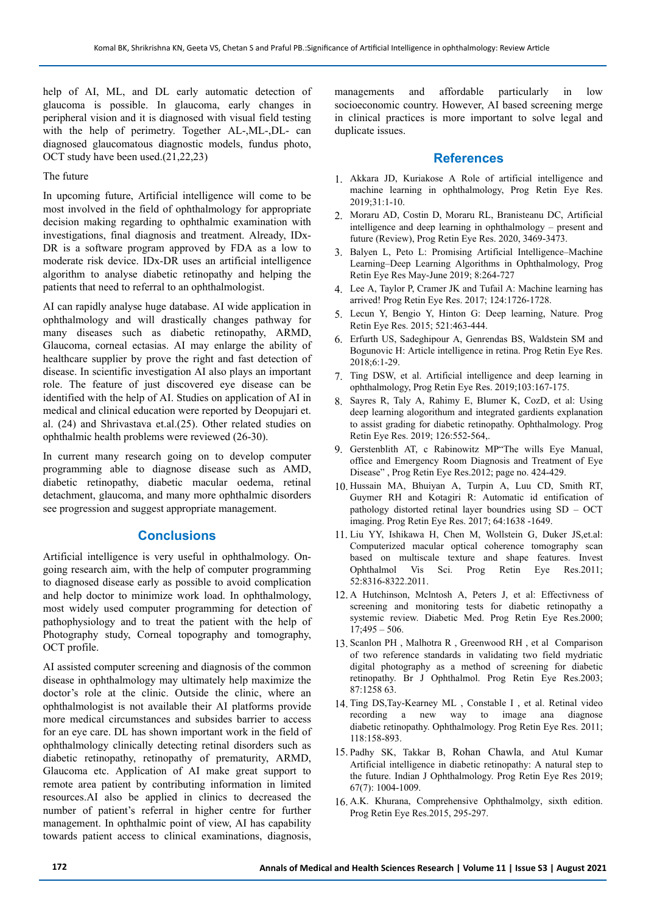help of AI, ML, and DL early automatic detection of glaucoma is possible. In glaucoma, early changes in peripheral vision and it is diagnosed with visual field testing with the help of perimetry. Together AL-,ML-,DL- can diagnosed glaucomatous diagnostic models, fundus photo, OCT study have been used.(21,22,23)

# The future

In upcoming future, Artificial intelligence will come to be most involved in the field of ophthalmology for appropriate decision making regarding to ophthalmic examination with investigations, final diagnosis and treatment. Already, IDx-DR is a software program approved by FDA as a low to moderate risk device. IDx-DR uses an artificial intelligence algorithm to analyse diabetic retinopathy and helping the patients that need to referral to an ophthalmologist.

AI can rapidly analyse huge database. AI wide application in ophthalmology and will drastically changes pathway for many diseases such as diabetic retinopathy, ARMD, Glaucoma, corneal ectasias. AI may enlarge the ability of healthcare supplier by prove the right and fast detection of disease. In scientific investigation AI also plays an important role. The feature of just discovered eye disease can be identified with the help of AI. Studies on application of AI in medical and clinical education were reported by Deopujari et. al. (24) and Shrivastava et.al.(25). Other related studies on ophthalmic health problems were reviewed (26-30).

In current many research going on to develop computer programming able to diagnose disease such as AMD, diabetic retinopathy, diabetic macular oedema, retinal detachment, glaucoma, and many more ophthalmic disorders see progression and suggest appropriate management.

# **Conclusions**

Artificial intelligence is very useful in ophthalmology. Ongoing research aim, with the help of computer programming to diagnosed disease early as possible to avoid complication and help doctor to minimize work load. In ophthalmology, most widely used computer programming for detection of pathophysiology and to treat the patient with the help of Photography study, Corneal topography and tomography, OCT profile.

AI assisted computer screening and diagnosis of the common disease in ophthalmology may ultimately help maximize the doctor's role at the clinic. Outside the clinic, where an ophthalmologist is not available their AI platforms provide more medical circumstances and subsides barrier to access for an eye care. DL has shown important work in the field of ophthalmology clinically detecting retinal disorders such as diabetic retinopathy, retinopathy of prematurity, ARMD, Glaucoma etc. Application of AI make great support to remote area patient by contributing information in limited resources.AI also be applied in clinics to decreased the number of patient's referral in higher centre for further management. In ophthalmic point of view, AI has capability towards patient access to clinical examinations, diagnosis,

managements and affordable particularly in low socioeconomic country. However, AI based screening merge in clinical practices is more important to solve legal and duplicate issues.

# **References**

- 1. Akkara JD, Kuriakose A Role of artificial intelligence and machine learning in ophthalmology, Prog Retin Eye Res. 2019;31:1-10.
- 2. Moraru AD, Costin D, Moraru RL, Branisteanu DC, Artificial intelligence and deep learning in ophthalmology – present and future (Review), Prog Retin Eye Res. 2020, 3469-3473.
- 3. Balyen L, Peto L: Promising Artificial Intelligence–Machine Learning–Deep Learning Algorithms in Ophthalmology, Prog Retin Eye Res May-June 2019; 8:264-727
- 4. Lee A, Taylor P, Cramer JK and Tufail A: Machine learning has arrived! Prog Retin Eye Res. 2017; 124:1726-1728.
- 5. Lecun Y, Bengio Y, Hinton G: Deep learning, Nature. Prog Retin Eye Res. 2015; 521:463-444.
- 6. Erfurth US, Sadeghipour A, Genrendas BS, Waldstein SM and Bogunovic H: Article intelligence in retina. Prog Retin Eye Res. 2018;6:1-29.
- 7. Ting DSW, et al. Artificial intelligence and deep learning in ophthalmology, Prog Retin Eye Res. 2019;103:167-175.
- Sayres R, Taly A, Rahimy E, Blumer K, CozD, et al: Using deep learning alogorithum and integrated gardients explanation to assist grading for diabetic retinopathy. Ophthalmology. Prog Retin Eye Res. 2019; 126:552-564,.
- 9. Gerstenblith AT, c Rabinowitz MP"The wills Eye Manual, office and Emergency Room Diagnosis and Treatment of Eye Disease" , Prog Retin Eye Res.2012; page no. 424-429.
- 10. Hussain MA, Bhuiyan A, Turpin A, Luu CD, Smith RT, Guymer RH and Kotagiri R: Automatic id entification of pathology distorted retinal layer boundries using SD – OCT imaging. Prog Retin Eye Res. 2017; 64:1638 -1649.
- 11. Liu YY, Ishikawa H, Chen M, Wollstein G, Duker JS,et.al: Computerized macular optical coherence tomography scan based on multiscale texture and shape features. Invest Ophthalmol Vis Sci. Prog Retin Eye Res.2011; 52:8316-8322.2011.
- 12. A Hutchinson, Mclntosh A, Peters J, et al: Effectivness of screening and monitoring tests for diabetic retinopathy a systemic review. Diabetic Med. Prog Retin Eye Res.2000;  $17;495 - 506.$
- 13. Scanlon PH , Malhotra R , Greenwood RH , et al Comparison of two reference standards in validating two field mydriatic digital photography as a method of screening for diabetic retinopathy. Br J Ophthalmol. Prog Retin Eye Res.2003; 87:1258 63.
- 14. Ting DS,Tay-Kearney ML , Constable I , et al. Retinal video recording a new way to image ana diagnose diabetic retinopathy. Ophthalmology. Prog Retin Eye Res. 2011; 118:158-893.
- 15. Padhy SK, Takkar B, [Rohan Chawla](https://www.ncbi.nlm.nih.gov/pubmed/?term=Chawla%20R%5BAuthor%5D&cauthor=true&cauthor_uid=31238395), and Atul Kumar Artificial intelligence in diabetic retinopathy: A natural step to the future. Indian J Ophthalmology. Prog Retin Eye Res 2019; 67(7): 1004-1009.
- 16. A.K. Khurana, Comprehensive Ophthalmolgy, sixth edition. Prog Retin Eye Res.2015, 295-297.